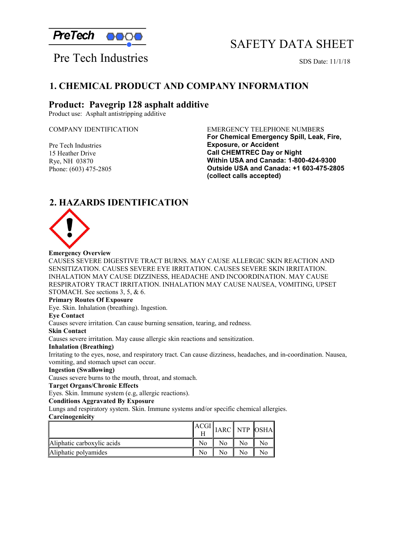

# SAFETY DATA SHEET

Pre Tech Industries SDS Date: 11/1/18

## **1. CHEMICAL PRODUCT AND COMPANY INFORMATION**

### **Product: Pavegrip 128 asphalt additive**

Product use: Asphalt antistripping additive

Pre Tech Industries 15 Heather Drive Rye, NH 03870 Phone: (603) 475-2805

#### COMPANY IDENTIFICATION EMERGENCY TELEPHONE NUMBERS

**For Chemical Emergency Spill, Leak, Fire, Exposure, or Accident Call CHEMTREC Day or Night Within USA and Canada: 1-800-424-9300 Outside USA and Canada: +1 603-475-2805 (collect calls accepted)**

## **2. HAZARDS IDENTIFICATION**



#### **Emergency Overview**

CAUSES SEVERE DIGESTIVE TRACT BURNS. MAY CAUSE ALLERGIC SKIN REACTION AND SENSITIZATION. CAUSES SEVERE EYE IRRITATION. CAUSES SEVERE SKIN IRRITATION. INHALATION MAY CAUSE DIZZINESS, HEADACHE AND INCOORDINATION. MAY CAUSE RESPIRATORY TRACT IRRITATION. INHALATION MAY CAUSE NAUSEA, VOMITING, UPSET STOMACH. See sections 3, 5, & 6.

#### **Primary Routes Of Exposure**

Eye. Skin. Inhalation (breathing). Ingestion.

#### **Eye Contact**

Causes severe irritation. Can cause burning sensation, tearing, and redness.

#### **Skin Contact**

Causes severe irritation. May cause allergic skin reactions and sensitization.

#### **Inhalation (Breathing)**

Irritating to the eyes, nose, and respiratory tract. Can cause dizziness, headaches, and in-coordination. Nausea, vomiting, and stomach upset can occur.

#### **Ingestion (Swallowing)**

Causes severe burns to the mouth, throat, and stomach.

#### **Target Organs/Chronic Effects**

Eyes. Skin. Immune system (e.g, allergic reactions).

#### **Conditions Aggravated By Exposure**

Lungs and respiratory system. Skin. Immune systems and/or specific chemical allergies. **Carcinogenicity**

|                            |    |  | <b>IARC</b> NTP OSHA |
|----------------------------|----|--|----------------------|
| Aliphatic carboxylic acids |    |  |                      |
| Aliphatic polyamides       | No |  |                      |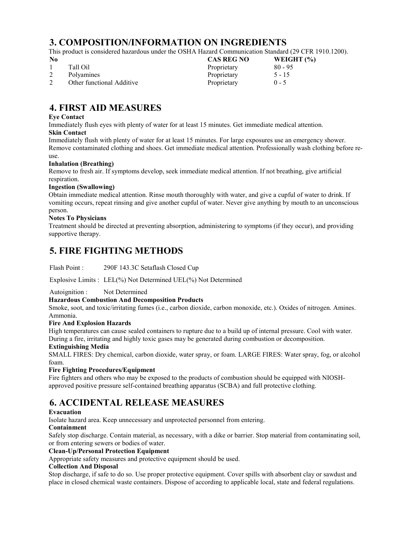# **3. COMPOSITION/INFORMATION ON INGREDIENTS**

This product is considered hazardous under the OSHA Hazard Communication Standard (29 CFR 1910.1200).

| No. |                           | <b>CAS REG NO</b> | WEIGHT $(\%)$ |
|-----|---------------------------|-------------------|---------------|
|     | Tall Oil                  | Proprietary       | $80 - 95$     |
|     | Polyamines                | Proprietary       | $5 - 15$      |
|     | Other functional Additive | Proprietary       | $0 - 5$       |

# **4. FIRST AID MEASURES**

#### **Eye Contact**

Immediately flush eyes with plenty of water for at least 15 minutes. Get immediate medical attention. **Skin Contact**

Immediately flush with plenty of water for at least 15 minutes. For large exposures use an emergency shower. Remove contaminated clothing and shoes. Get immediate medical attention. Professionally wash clothing before reuse.

#### **Inhalation (Breathing)**

Remove to fresh air. If symptoms develop, seek immediate medical attention. If not breathing, give artificial respiration.

#### **Ingestion (Swallowing)**

Obtain immediate medical attention. Rinse mouth thoroughly with water, and give a cupful of water to drink. If vomiting occurs, repeat rinsing and give another cupful of water. Never give anything by mouth to an unconscious person.

#### **Notes To Physicians**

Treatment should be directed at preventing absorption, administering to symptoms (if they occur), and providing supportive therapy.

## **5. FIRE FIGHTING METHODS**

Flash Point : 290F 143.3C Setaflash Closed Cup

Explosive Limits : LEL(%) Not Determined UEL(%) Not Determined

Autoignition : Not Determined

#### **Hazardous Combustion And Decomposition Products**

Smoke, soot, and toxic/irritating fumes (i.e., carbon dioxide, carbon monoxide, etc.). Oxides of nitrogen. Amines. Ammonia.

#### **Fire And Explosion Hazards**

High temperatures can cause sealed containers to rupture due to a build up of internal pressure. Cool with water. During a fire, irritating and highly toxic gases may be generated during combustion or decomposition.

#### **Extinguishing Media**

SMALL FIRES: Dry chemical, carbon dioxide, water spray, or foam. LARGE FIRES: Water spray, fog, or alcohol foam.

#### **Fire Fighting Procedures/Equipment**

Fire fighters and others who may be exposed to the products of combustion should be equipped with NIOSHapproved positive pressure self-contained breathing apparatus (SCBA) and full protective clothing.

## **6. ACCIDENTAL RELEASE MEASURES**

#### **Evacuation**

Isolate hazard area. Keep unnecessary and unprotected personnel from entering.

#### **Containment**

Safely stop discharge. Contain material, as necessary, with a dike or barrier. Stop material from contaminating soil, or from entering sewers or bodies of water.

#### **Clean-Up/Personal Protection Equipment**

Appropriate safety measures and protective equipment should be used.

#### **Collection And Disposal**

Stop discharge, if safe to do so. Use proper protective equipment. Cover spills with absorbent clay or sawdust and place in closed chemical waste containers. Dispose of according to applicable local, state and federal regulations.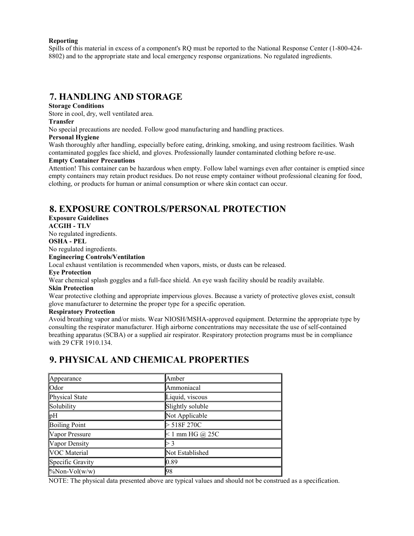#### **Reporting**

Spills of this material in excess of a component's RQ must be reported to the National Response Center (1-800-424- 8802) and to the appropriate state and local emergency response organizations. No regulated ingredients.

### **7. HANDLING AND STORAGE**

#### **Storage Conditions**

Store in cool, dry, well ventilated area.

#### **Transfer**

No special precautions are needed. Follow good manufacturing and handling practices.

#### **Personal Hygiene**

Wash thoroughly after handling, especially before eating, drinking, smoking, and using restroom facilities. Wash contaminated goggles face shield, and gloves. Professionally launder contaminated clothing before re-use.

#### **Empty Container Precautions**

Attention! This container can be hazardous when empty. Follow label warnings even after container is emptied since empty containers may retain product residues. Do not reuse empty container without professional cleaning for food, clothing, or products for human or animal consumption or where skin contact can occur.

## **8. EXPOSURE CONTROLS/PERSONAL PROTECTION**

### **Exposure Guidelines**

**ACGIH - TLV**

No regulated ingredients.

**OSHA - PEL**

### No regulated ingredients.

#### **Engineering Controls/Ventilation**

Local exhaust ventilation is recommended when vapors, mists, or dusts can be released.

#### **Eye Protection**

Wear chemical splash goggles and a full-face shield. An eye wash facility should be readily available.

#### **Skin Protection**

Wear protective clothing and appropriate impervious gloves. Because a variety of protective gloves exist, consult glove manufacturer to determine the proper type for a specific operation.

#### **Respiratory Protection**

Avoid breathing vapor and/or mists. Wear NIOSH/MSHA-approved equipment. Determine the appropriate type by consulting the respirator manufacturer. High airborne concentrations may necessitate the use of self-contained breathing apparatus (SCBA) or a supplied air respirator. Respiratory protection programs must be in compliance with 29 CFR 1910.134.

## **9. PHYSICAL AND CHEMICAL PROPERTIES**

| Appearance           | Amber             |
|----------------------|-------------------|
| Odor                 | Ammoniacal        |
| Physical State       | Liquid, viscous   |
| Solubility           | Slightly soluble  |
| $\mathbb{P}$ H       | Not Applicable    |
| <b>Boiling Point</b> | > 518F 270C       |
| Vapor Pressure       | $< 1$ mm HG @ 25C |
| Vapor Density        |                   |
| VOC Material         | Not Established   |
| Specific Gravity     | 0.89              |
| $\%$ Non-Vol(w/w)    | 98                |

NOTE: The physical data presented above are typical values and should not be construed as a specification.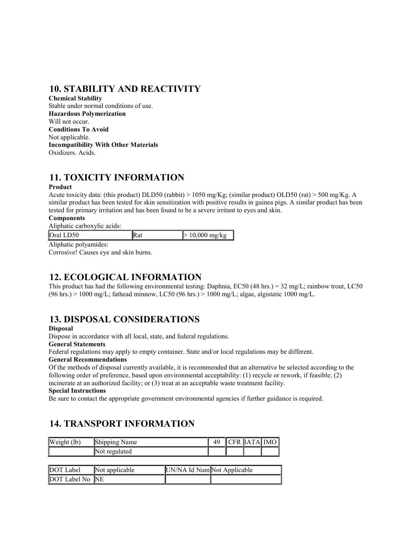# **10. STABILITY AND REACTIVITY**

**Chemical Stability** Stable under normal conditions of use. **Hazardous Polymerization** Will not occur. **Conditions To Avoid** Not applicable. **Incompatibility With Other Materials**  Oxidizers. Acids.

# **11. TOXICITY INFORMATION**

#### **Product**

Acute toxicity data: (this product) DLD50 (rabbit) > 1050 mg/Kg; (similar product) OLD50 (rat) > 500 mg/Kg. A similar product has been tested for skin sensitization with positive results in guinea pigs. A similar product has been tested for primary irritation and has been found to be a severe irritant to eyes and skin.

#### **Components**

Aliphatic carboxylic acids:

| Oral LD                                                                                                                                                                                                                                                                                                                                                                                       |  |
|-----------------------------------------------------------------------------------------------------------------------------------------------------------------------------------------------------------------------------------------------------------------------------------------------------------------------------------------------------------------------------------------------|--|
| $\lambda$ 1 $\lambda$ 1 $\lambda$ 1 $\lambda$ 1 $\lambda$ 1 $\lambda$ 1 $\lambda$ 1 $\lambda$ 1 $\lambda$ 1 $\lambda$ 1 $\lambda$ 1 $\lambda$ 1 $\lambda$ 1 $\lambda$ 1 $\lambda$ 1 $\lambda$ 1 $\lambda$ 1 $\lambda$ 1 $\lambda$ 1 $\lambda$ 1 $\lambda$ 1 $\lambda$ 1 $\lambda$ 1 $\lambda$ 1 $\lambda$ 1 $\lambda$ 1 $\lambda$ 1 $\lambda$ 1 $\lambda$ 1 $\lambda$ 1 $\lambda$ 1 $\lambda$ |  |

Aliphatic polyamides:

Corrosive! Causes eye and skin burns.

## **12. ECOLOGICAL INFORMATION**

This product has had the following environmental testing: Daphnia, EC50 (48 hrs.) = 32 mg/L; rainbow trout, LC50  $(96 \text{ hrs.}) > 1000 \text{ mg/L}$ ; fathead minnow, LC50 (96 hrs.) > 1000 mg/L; algae, algistatic 1000 mg/L.

## **13. DISPOSAL CONSIDERATIONS**

#### **Disposal**

Dispose in accordance with all local, state, and federal regulations.

#### **General Statements**

Federal regulations may apply to empty container. State and/or local regulations may be different.

#### **General Recommendations**

Of the methods of disposal currently available, it is recommended that an alternative be selected according to the following order of preference, based upon environmental acceptability: (1) recycle or rework, if feasible; (2) incinerate at an authorized facility; or (3) treat at an acceptable waste treatment facility.

#### **Special Instructions**

DOT Label No NE

Be sure to contact the appropriate government environmental agencies if further guidance is required.

## **14. TRANSPORT INFORMATION**

| Weight (lb) | Shipping Name  |                             | 49 |  | CFR  IATA  IMO |
|-------------|----------------|-----------------------------|----|--|----------------|
|             | Not regulated  |                             |    |  |                |
|             |                |                             |    |  |                |
| DOT Label   | Not applicable | UN/NA Id Num Not Applicable |    |  |                |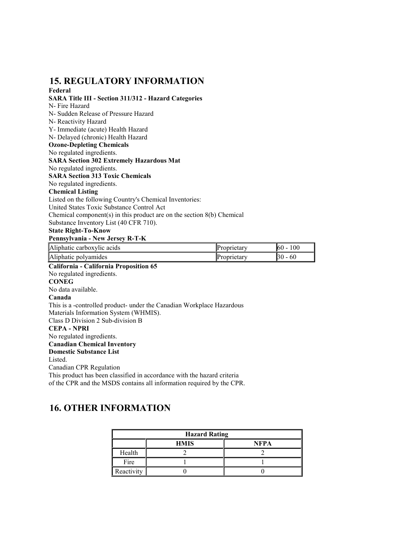### **15. REGULATORY INFORMATION Federal**

**SARA Title III - Section 311/312 - Hazard Categories** N- Fire Hazard N- Sudden Release of Pressure Hazard N- Reactivity Hazard Y- Immediate (acute) Health Hazard N- Delayed (chronic) Health Hazard **Ozone-Depleting Chemicals** No regulated ingredients. **SARA Section 302 Extremely Hazardous Mat** No regulated ingredients. **SARA Section 313 Toxic Chemicals**  No regulated ingredients. **Chemical Listing** Listed on the following Country's Chemical Inventories: United States Toxic Substance Control Act Chemical component(s) in this product are on the section 8(b) Chemical Substance Inventory List (40 CFR 710). **State Right-To-Know Pennsylvania - New Jersey R-T-K** Aliphatic carboxylic acids **Proprietary Proprietary 60 - 100** Aliphatic polyamides and a set of the proprietary and  $\blacksquare$  30 - 60 **California - California Proposition 65** No regulated ingredients. **CONEG** No data available.

#### **Canada**

This is a -controlled product- under the Canadian Workplace Hazardous Materials Information System (WHMIS).

Class D Division 2 Sub-division B

#### **CEPA - NPRI**

No regulated ingredients.

### **Canadian Chemical Inventory**

**Domestic Substance List**

#### Listed.

Canadian CPR Regulation

This product has been classified in accordance with the hazard criteria of the CPR and the MSDS contains all information required by the CPR.

## **16. OTHER INFORMATION**

| <b>Hazard Rating</b> |             |             |
|----------------------|-------------|-------------|
|                      | <b>HMIS</b> | <b>NFPA</b> |
| Health               |             |             |
| Fire                 |             |             |
| Reactivity           |             |             |